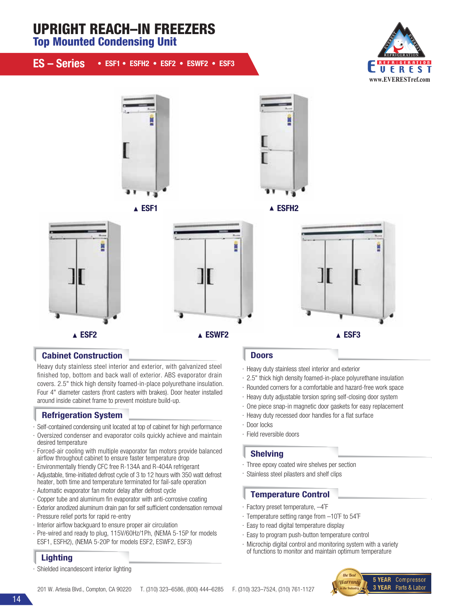# UPRIGHT REACH–IN FREEZERS

Top Mounted Condensing Unit

| ES - Series • ESF1 • ESFH2 • ESF2 • ESWF2 • ESF3 |  |  |  |  |  |
|--------------------------------------------------|--|--|--|--|--|
|--------------------------------------------------|--|--|--|--|--|







### **Cabinet Construction Doors** Doors

Heavy duty stainless steel interior and exterior, with galvanized steel finished top, bottom and back wall of exterior. ABS evaporator drain covers. 2.5" thick high density foamed-in-place polyurethane insulation. Four 4" diameter casters (front casters with brakes). Door heater installed around inside cabinet frame to prevent moisture build-up.

# Refrigeration System

- · Self-contained condensing unit located at top of cabinet for high performance
- · Oversized condenser and evaporator coils quickly achieve and maintain desired temperature
- · Forced-air cooling with multiple evaporator fan motors provide balanced airflow throughout cabinet to ensure faster temperature drop
- · Environmentally friendly CFC free R-134A and R-404A refrigerant
- · Adjustable, time-initiated defrost cycle of 3 to 12 hours with 350 watt defrost heater, both time and temperature terminated for fail-safe operation
- · Automatic evaporator fan motor delay after defrost cycle
- · Copper tube and aluminum fin evaporator with anti-corrosive coating
- · Exterior anodized aluminum drain pan for self sufficient condensation removal
- · Pressure relief ports for rapid re-entry
- $\cdot$  Interior airflow backguard to ensure proper air circulation
- · Pre-wired and ready to plug, 115V/60Hz/1Ph, (NEMA 5-15P for models ESF1, ESFH2), (NEMA 5-20P for models ESF2, ESWF2, ESF3)

# **Lighting**

Shielded incandescent interior lighting

- · Heavy duty stainless steel interior and exterior
- · 2.5" thick high density foamed-in-place polyurethane insulation
- · Rounded corners for a comfortable and hazard-free work space
- · Heavy duty adjustable torsion spring self-closing door system
- · One piece snap-in magnetic door gaskets for easy replacement
- · Heavy duty recessed door handles for a flat surface
- · Door locks
- · Field reversible doors

### Shelving

- · Three epoxy coated wire shelves per section
- · Stainless steel pilasters and shelf clips

### Temperature Control

- · Factory preset temperature, –4˚F
- · Temperature setting range from –10˚F to 54˚F
- · Easy to read digital temperature display
- · Easy to program push-button temperature control
- · Microchip digital control and monitoring system with a variety of functions to monitor and maintain optimum temperature